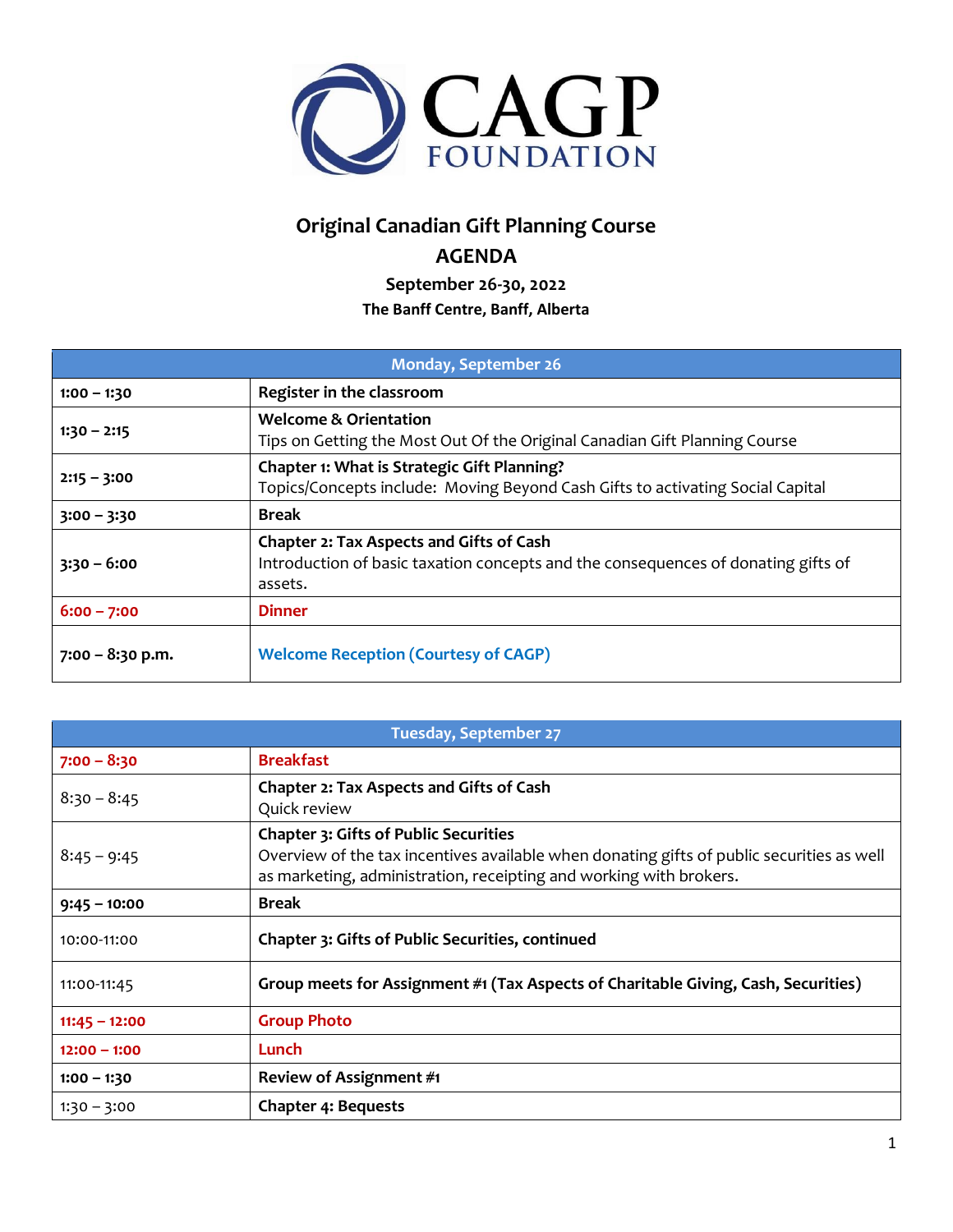

## **Original Canadian Gift Planning Course AGENDA**

**September 26-30, 2022 The Banff Centre, Banff, Alberta**

| <b>Monday, September 26</b> |                                                                                                                                          |
|-----------------------------|------------------------------------------------------------------------------------------------------------------------------------------|
| $1:00 - 1:30$               | Register in the classroom                                                                                                                |
| $1:30 - 2:15$               | <b>Welcome &amp; Orientation</b><br>Tips on Getting the Most Out Of the Original Canadian Gift Planning Course                           |
| $2:15 - 3:00$               | <b>Chapter 1: What is Strategic Gift Planning?</b><br>Topics/Concepts include: Moving Beyond Cash Gifts to activating Social Capital     |
| $3:00 - 3:30$               | <b>Break</b>                                                                                                                             |
| $3:30 - 6:00$               | Chapter 2: Tax Aspects and Gifts of Cash<br>Introduction of basic taxation concepts and the consequences of donating gifts of<br>assets. |
| $6:00 - 7:00$               | <b>Dinner</b>                                                                                                                            |
| $7:00 - 8:30$ p.m.          | <b>Welcome Reception (Courtesy of CAGP)</b>                                                                                              |

| <b>Tuesday, September 27</b> |                                                                                                                                                                                                                 |
|------------------------------|-----------------------------------------------------------------------------------------------------------------------------------------------------------------------------------------------------------------|
| $7:00 - 8:30$                | <b>Breakfast</b>                                                                                                                                                                                                |
| $8:30 - 8:45$                | Chapter 2: Tax Aspects and Gifts of Cash<br>Quick review                                                                                                                                                        |
| $8:45 - 9:45$                | <b>Chapter 3: Gifts of Public Securities</b><br>Overview of the tax incentives available when donating gifts of public securities as well<br>as marketing, administration, receipting and working with brokers. |
| $9:45 - 10:00$               | <b>Break</b>                                                                                                                                                                                                    |
| 10:00-11:00                  | Chapter 3: Gifts of Public Securities, continued                                                                                                                                                                |
| 11:00-11:45                  | Group meets for Assignment #1 (Tax Aspects of Charitable Giving, Cash, Securities)                                                                                                                              |
| $11:45 - 12:00$              | <b>Group Photo</b>                                                                                                                                                                                              |
| $12:00 - 1:00$               | Lunch                                                                                                                                                                                                           |
| $1:00 - 1:30$                | Review of Assignment #1                                                                                                                                                                                         |
| $1:30 - 3:00$                | <b>Chapter 4: Bequests</b>                                                                                                                                                                                      |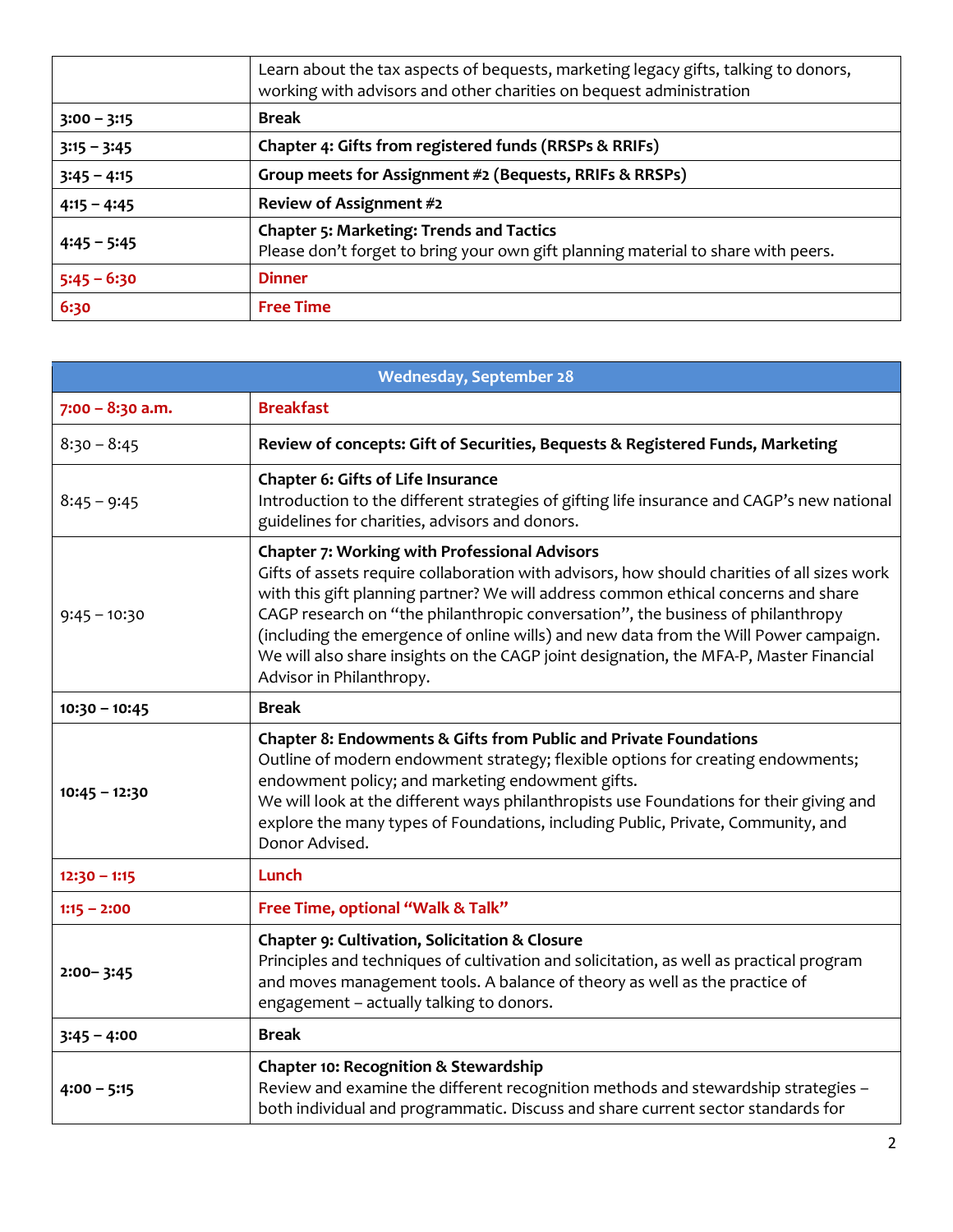|               | Learn about the tax aspects of bequests, marketing legacy gifts, talking to donors,<br>working with advisors and other charities on bequest administration |
|---------------|------------------------------------------------------------------------------------------------------------------------------------------------------------|
| $3:00 - 3:15$ | <b>Break</b>                                                                                                                                               |
| $3:15 - 3:45$ | Chapter 4: Gifts from registered funds (RRSPs & RRIFs)                                                                                                     |
| $3:45 - 4:15$ | Group meets for Assignment #2 (Bequests, RRIFs & RRSPs)                                                                                                    |
| $4:15 - 4:45$ | Review of Assignment #2                                                                                                                                    |
| $4:45 - 5:45$ | <b>Chapter 5: Marketing: Trends and Tactics</b><br>Please don't forget to bring your own gift planning material to share with peers.                       |
| $5:45 - 6:30$ | <b>Dinner</b>                                                                                                                                              |
| 6:30          | <b>Free Time</b>                                                                                                                                           |

| <b>Wednesday, September 28</b> |                                                                                                                                                                                                                                                                                                                                                                                                                                                                                                                                            |
|--------------------------------|--------------------------------------------------------------------------------------------------------------------------------------------------------------------------------------------------------------------------------------------------------------------------------------------------------------------------------------------------------------------------------------------------------------------------------------------------------------------------------------------------------------------------------------------|
| $7:00 - 8:30$ a.m.             | <b>Breakfast</b>                                                                                                                                                                                                                                                                                                                                                                                                                                                                                                                           |
| $8:30 - 8:45$                  | Review of concepts: Gift of Securities, Bequests & Registered Funds, Marketing                                                                                                                                                                                                                                                                                                                                                                                                                                                             |
| $8:45 - 9:45$                  | <b>Chapter 6: Gifts of Life Insurance</b><br>Introduction to the different strategies of gifting life insurance and CAGP's new national<br>guidelines for charities, advisors and donors.                                                                                                                                                                                                                                                                                                                                                  |
| $9:45 - 10:30$                 | <b>Chapter 7: Working with Professional Advisors</b><br>Gifts of assets require collaboration with advisors, how should charities of all sizes work<br>with this gift planning partner? We will address common ethical concerns and share<br>CAGP research on "the philanthropic conversation", the business of philanthropy<br>(including the emergence of online wills) and new data from the Will Power campaign.<br>We will also share insights on the CAGP joint designation, the MFA-P, Master Financial<br>Advisor in Philanthropy. |
| $10:30 - 10:45$                | <b>Break</b>                                                                                                                                                                                                                                                                                                                                                                                                                                                                                                                               |
| $10:45 - 12:30$                | Chapter 8: Endowments & Gifts from Public and Private Foundations<br>Outline of modern endowment strategy; flexible options for creating endowments;<br>endowment policy; and marketing endowment gifts.<br>We will look at the different ways philanthropists use Foundations for their giving and<br>explore the many types of Foundations, including Public, Private, Community, and<br>Donor Advised.                                                                                                                                  |
| $12:30 - 1:15$                 | Lunch                                                                                                                                                                                                                                                                                                                                                                                                                                                                                                                                      |
| $1:15 - 2:00$                  | Free Time, optional "Walk & Talk"                                                                                                                                                                                                                                                                                                                                                                                                                                                                                                          |
| $2:00 - 3:45$                  | Chapter 9: Cultivation, Solicitation & Closure<br>Principles and techniques of cultivation and solicitation, as well as practical program<br>and moves management tools. A balance of theory as well as the practice of<br>engagement - actually talking to donors.                                                                                                                                                                                                                                                                        |
| $3:45 - 4:00$                  | <b>Break</b>                                                                                                                                                                                                                                                                                                                                                                                                                                                                                                                               |
| $4:00 - 5:15$                  | <b>Chapter 10: Recognition &amp; Stewardship</b><br>Review and examine the different recognition methods and stewardship strategies -<br>both individual and programmatic. Discuss and share current sector standards for                                                                                                                                                                                                                                                                                                                  |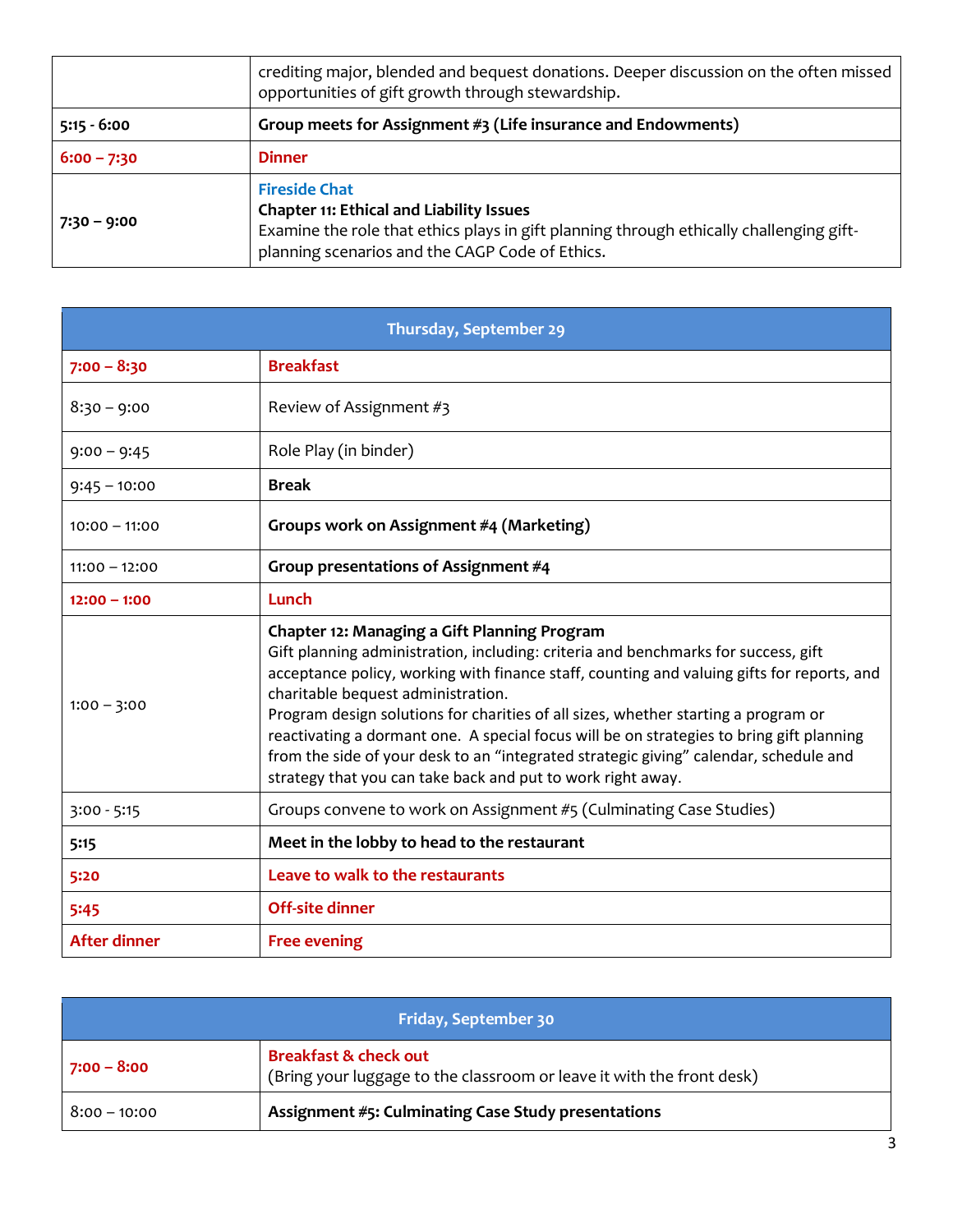|               | crediting major, blended and bequest donations. Deeper discussion on the often missed<br>opportunities of gift growth through stewardship.                                                                            |
|---------------|-----------------------------------------------------------------------------------------------------------------------------------------------------------------------------------------------------------------------|
| $5:15 - 6:00$ | Group meets for Assignment #3 (Life insurance and Endowments)                                                                                                                                                         |
| $6:00 - 7:30$ | <b>Dinner</b>                                                                                                                                                                                                         |
| 7:30 – 9:00   | <b>Fireside Chat</b><br><b>Chapter 11: Ethical and Liability Issues</b><br>Examine the role that ethics plays in gift planning through ethically challenging gift-<br>planning scenarios and the CAGP Code of Ethics. |

| Thursday, September 29 |                                                                                                                                                                                                                                                                                                                                                                                                                                                                                                                                                                                                                  |
|------------------------|------------------------------------------------------------------------------------------------------------------------------------------------------------------------------------------------------------------------------------------------------------------------------------------------------------------------------------------------------------------------------------------------------------------------------------------------------------------------------------------------------------------------------------------------------------------------------------------------------------------|
| $7:00 - 8:30$          | <b>Breakfast</b>                                                                                                                                                                                                                                                                                                                                                                                                                                                                                                                                                                                                 |
| $8:30 - 9:00$          | Review of Assignment #3                                                                                                                                                                                                                                                                                                                                                                                                                                                                                                                                                                                          |
| $9:00 - 9:45$          | Role Play (in binder)                                                                                                                                                                                                                                                                                                                                                                                                                                                                                                                                                                                            |
| $9:45 - 10:00$         | <b>Break</b>                                                                                                                                                                                                                                                                                                                                                                                                                                                                                                                                                                                                     |
| $10:00 - 11:00$        | Groups work on Assignment #4 (Marketing)                                                                                                                                                                                                                                                                                                                                                                                                                                                                                                                                                                         |
| $11:00 - 12:00$        | Group presentations of Assignment #4                                                                                                                                                                                                                                                                                                                                                                                                                                                                                                                                                                             |
| $12:00 - 1:00$         | Lunch                                                                                                                                                                                                                                                                                                                                                                                                                                                                                                                                                                                                            |
| $1:00 - 3:00$          | Chapter 12: Managing a Gift Planning Program<br>Gift planning administration, including: criteria and benchmarks for success, gift<br>acceptance policy, working with finance staff, counting and valuing gifts for reports, and<br>charitable bequest administration.<br>Program design solutions for charities of all sizes, whether starting a program or<br>reactivating a dormant one. A special focus will be on strategies to bring gift planning<br>from the side of your desk to an "integrated strategic giving" calendar, schedule and<br>strategy that you can take back and put to work right away. |
| $3:00 - 5:15$          | Groups convene to work on Assignment #5 (Culminating Case Studies)                                                                                                                                                                                                                                                                                                                                                                                                                                                                                                                                               |
| 5:15                   | Meet in the lobby to head to the restaurant                                                                                                                                                                                                                                                                                                                                                                                                                                                                                                                                                                      |
| 5:20                   | Leave to walk to the restaurants                                                                                                                                                                                                                                                                                                                                                                                                                                                                                                                                                                                 |
| 5:45                   | <b>Off-site dinner</b>                                                                                                                                                                                                                                                                                                                                                                                                                                                                                                                                                                                           |
| After dinner           | <b>Free evening</b>                                                                                                                                                                                                                                                                                                                                                                                                                                                                                                                                                                                              |

| <b>Friday, September 30</b> |                                                                                                           |
|-----------------------------|-----------------------------------------------------------------------------------------------------------|
| 7:00 – 8:00                 | <b>Breakfast &amp; check out</b><br>(Bring your luggage to the classroom or leave it with the front desk) |
| $8:00 - 10:00$              | Assignment #5: Culminating Case Study presentations                                                       |